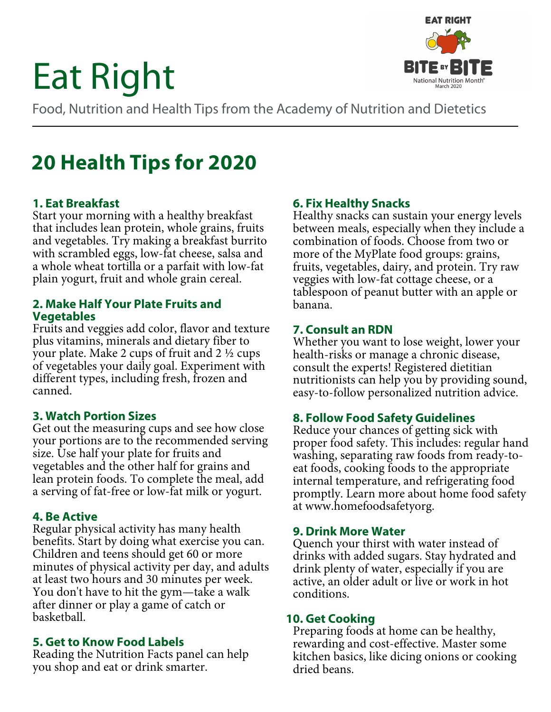# Eat Right



Food, Nutrition and Health Tips from the Academy of Nutrition and Dietetics

# **20 Health Tips for 2020**

#### **1. Eat Breakfast**

Start your morning with a healthy breakfast that includes lean protein, whole grains, fruits and vegetables. Try making a breakfast burrito with scrambled eggs, low-fat cheese, salsa and a whole wheat tortilla or a parfait with low-fat plain yogurt, fruit and whole grain cereal.

#### **2. Make Half Your Plate Fruits and Vegetables**

Fruits and veggies add color, flavor and texture plus vitamins, minerals and dietary fiber to your plate. Make 2 cups of fruit and 2 ½ cups of vegetables your daily goal. Experiment with different types, including fresh, frozen and canned.

#### **3. Watch Portion Sizes**

Get out the measuring cups and see how close your portions are to the recommended serving size. Use half your plate for fruits and vegetables and the other half for grains and lean protein foods. To complete the meal, add a serving of fat-free or low-fat milk or yogurt.

#### **4. Be Active**

Regular physical activity has many health benefits. Start by doing what exercise you can. Children and teens should get 60 or more minutes of physical activity per day, and adults at least two hours and 30 minutes per week. You don't have to hit the gym—take a walk after dinner or play a game of catch or basketball.

#### **5. Get to Know Food Labels**

Reading the Nutrition Facts panel can help you shop and eat or drink smarter.

# **6. Fix Healthy Snacks**

Healthy snacks can sustain your energy levels between meals, especially when they include a combination of foods. Choose from two or more of the MyPlate food groups: grains, fruits, vegetables, dairy, and protein. Try raw veggies with low-fat cottage cheese, or a tablespoon of peanut butter with an apple or banana.

#### **7. Consult an RDN**

Whether you want to lose weight, lower your health-risks or manage a chronic disease, consult the experts! Registered dietitian nutritionists can help you by providing sound, easy-to-follow personalized nutrition advice.

#### **8. Follow Food Safety Guidelines**

Reduce your chances of getting sick with proper food safety. This includes: regular hand washing, separating raw foods from ready-toeat foods, cooking foods to the appropriate internal temperature, and refrigerating food promptly. Learn more about home food safety at www.homefoodsafetyorg.

#### **9. Drink More Water**

Quench your thirst with water instead of drinks with added sugars. Stay hydrated and drink plenty of water, especially if you are active, an older adult or live or work in hot conditions.

#### **10. Get Cooking**

Preparing foods at home can be healthy, rewarding and cost-effective. Master some kitchen basics, like dicing onions or cooking dried beans.